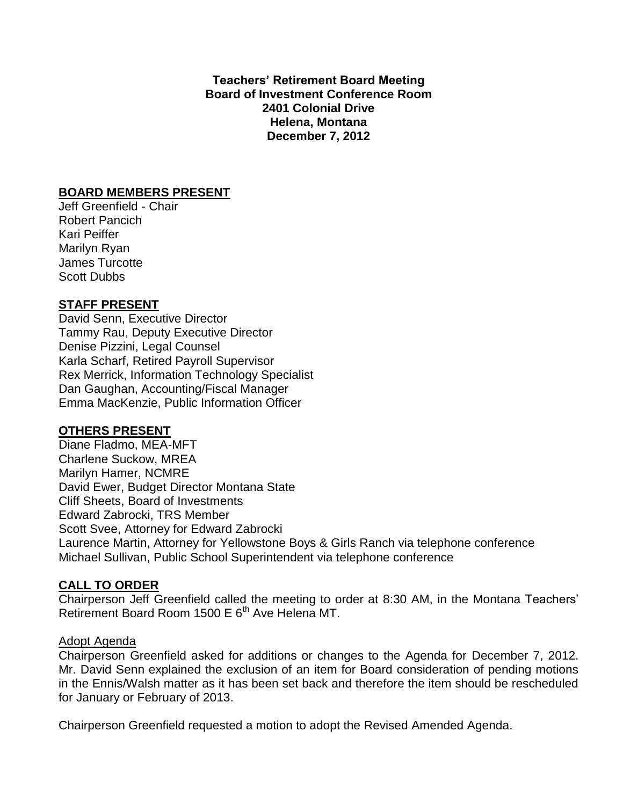**Teachers' Retirement Board Meeting Board of Investment Conference Room 2401 Colonial Drive Helena, Montana December 7, 2012**

### **BOARD MEMBERS PRESENT**

Jeff Greenfield - Chair Robert Pancich Kari Peiffer Marilyn Ryan James Turcotte Scott Dubbs

## **STAFF PRESENT**

David Senn, Executive Director Tammy Rau, Deputy Executive Director Denise Pizzini, Legal Counsel Karla Scharf, Retired Payroll Supervisor Rex Merrick, Information Technology Specialist Dan Gaughan, Accounting/Fiscal Manager Emma MacKenzie, Public Information Officer

## **OTHERS PRESENT**

Diane Fladmo, MEA-MFT Charlene Suckow, MREA Marilyn Hamer, NCMRE David Ewer, Budget Director Montana State Cliff Sheets, Board of Investments Edward Zabrocki, TRS Member Scott Svee, Attorney for Edward Zabrocki Laurence Martin, Attorney for Yellowstone Boys & Girls Ranch via telephone conference Michael Sullivan, Public School Superintendent via telephone conference

## **CALL TO ORDER**

Chairperson Jeff Greenfield called the meeting to order at 8:30 AM, in the Montana Teachers' Retirement Board Room 1500 E 6<sup>th</sup> Ave Helena MT.

#### Adopt Agenda

Chairperson Greenfield asked for additions or changes to the Agenda for December 7, 2012. Mr. David Senn explained the exclusion of an item for Board consideration of pending motions in the Ennis/Walsh matter as it has been set back and therefore the item should be rescheduled for January or February of 2013.

Chairperson Greenfield requested a motion to adopt the Revised Amended Agenda.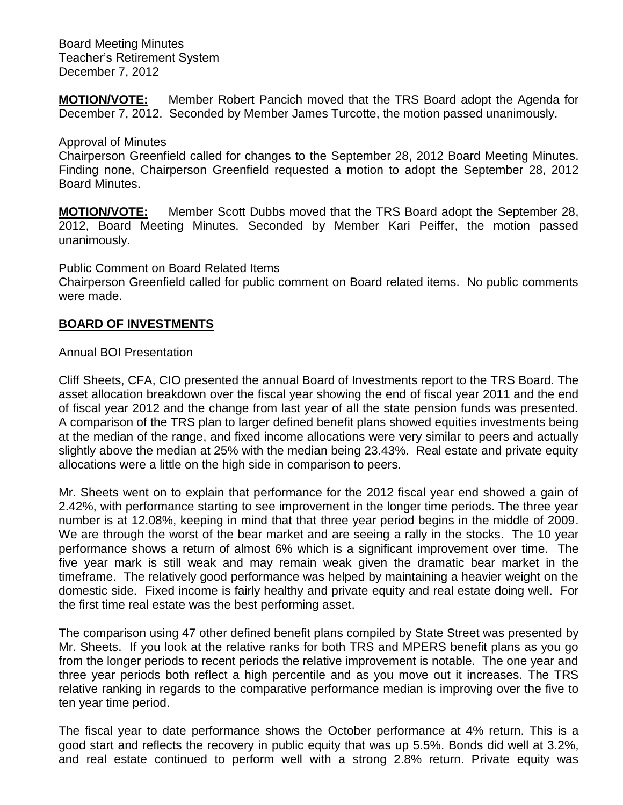**MOTION/VOTE:** Member Robert Pancich moved that the TRS Board adopt the Agenda for December 7, 2012. Seconded by Member James Turcotte, the motion passed unanimously.

### Approval of Minutes

Chairperson Greenfield called for changes to the September 28, 2012 Board Meeting Minutes. Finding none, Chairperson Greenfield requested a motion to adopt the September 28, 2012 Board Minutes.

**MOTION/VOTE:** Member Scott Dubbs moved that the TRS Board adopt the September 28, 2012, Board Meeting Minutes. Seconded by Member Kari Peiffer, the motion passed unanimously.

### Public Comment on Board Related Items

Chairperson Greenfield called for public comment on Board related items. No public comments were made.

## **BOARD OF INVESTMENTS**

#### Annual BOI Presentation

Cliff Sheets, CFA, CIO presented the annual Board of Investments report to the TRS Board. The asset allocation breakdown over the fiscal year showing the end of fiscal year 2011 and the end of fiscal year 2012 and the change from last year of all the state pension funds was presented. A comparison of the TRS plan to larger defined benefit plans showed equities investments being at the median of the range, and fixed income allocations were very similar to peers and actually slightly above the median at 25% with the median being 23.43%. Real estate and private equity allocations were a little on the high side in comparison to peers.

Mr. Sheets went on to explain that performance for the 2012 fiscal year end showed a gain of 2.42%, with performance starting to see improvement in the longer time periods. The three year number is at 12.08%, keeping in mind that that three year period begins in the middle of 2009. We are through the worst of the bear market and are seeing a rally in the stocks. The 10 year performance shows a return of almost 6% which is a significant improvement over time. The five year mark is still weak and may remain weak given the dramatic bear market in the timeframe. The relatively good performance was helped by maintaining a heavier weight on the domestic side. Fixed income is fairly healthy and private equity and real estate doing well. For the first time real estate was the best performing asset.

The comparison using 47 other defined benefit plans compiled by State Street was presented by Mr. Sheets. If you look at the relative ranks for both TRS and MPERS benefit plans as you go from the longer periods to recent periods the relative improvement is notable. The one year and three year periods both reflect a high percentile and as you move out it increases. The TRS relative ranking in regards to the comparative performance median is improving over the five to ten year time period.

The fiscal year to date performance shows the October performance at 4% return. This is a good start and reflects the recovery in public equity that was up 5.5%. Bonds did well at 3.2%, and real estate continued to perform well with a strong 2.8% return. Private equity was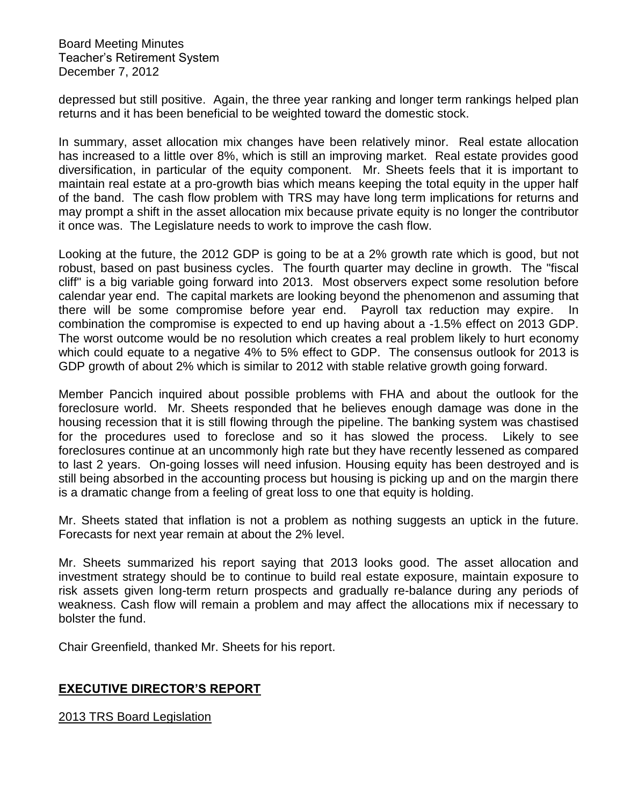depressed but still positive. Again, the three year ranking and longer term rankings helped plan returns and it has been beneficial to be weighted toward the domestic stock.

In summary, asset allocation mix changes have been relatively minor. Real estate allocation has increased to a little over 8%, which is still an improving market. Real estate provides good diversification, in particular of the equity component. Mr. Sheets feels that it is important to maintain real estate at a pro-growth bias which means keeping the total equity in the upper half of the band. The cash flow problem with TRS may have long term implications for returns and may prompt a shift in the asset allocation mix because private equity is no longer the contributor it once was. The Legislature needs to work to improve the cash flow.

Looking at the future, the 2012 GDP is going to be at a 2% growth rate which is good, but not robust, based on past business cycles. The fourth quarter may decline in growth. The "fiscal cliff" is a big variable going forward into 2013. Most observers expect some resolution before calendar year end. The capital markets are looking beyond the phenomenon and assuming that there will be some compromise before year end. Payroll tax reduction may expire. In combination the compromise is expected to end up having about a -1.5% effect on 2013 GDP. The worst outcome would be no resolution which creates a real problem likely to hurt economy which could equate to a negative 4% to 5% effect to GDP. The consensus outlook for 2013 is GDP growth of about 2% which is similar to 2012 with stable relative growth going forward.

Member Pancich inquired about possible problems with FHA and about the outlook for the foreclosure world. Mr. Sheets responded that he believes enough damage was done in the housing recession that it is still flowing through the pipeline. The banking system was chastised for the procedures used to foreclose and so it has slowed the process. Likely to see foreclosures continue at an uncommonly high rate but they have recently lessened as compared to last 2 years. On-going losses will need infusion. Housing equity has been destroyed and is still being absorbed in the accounting process but housing is picking up and on the margin there is a dramatic change from a feeling of great loss to one that equity is holding.

Mr. Sheets stated that inflation is not a problem as nothing suggests an uptick in the future. Forecasts for next year remain at about the 2% level.

Mr. Sheets summarized his report saying that 2013 looks good. The asset allocation and investment strategy should be to continue to build real estate exposure, maintain exposure to risk assets given long-term return prospects and gradually re-balance during any periods of weakness. Cash flow will remain a problem and may affect the allocations mix if necessary to bolster the fund.

Chair Greenfield, thanked Mr. Sheets for his report.

## **EXECUTIVE DIRECTOR'S REPORT**

2013 TRS Board Legislation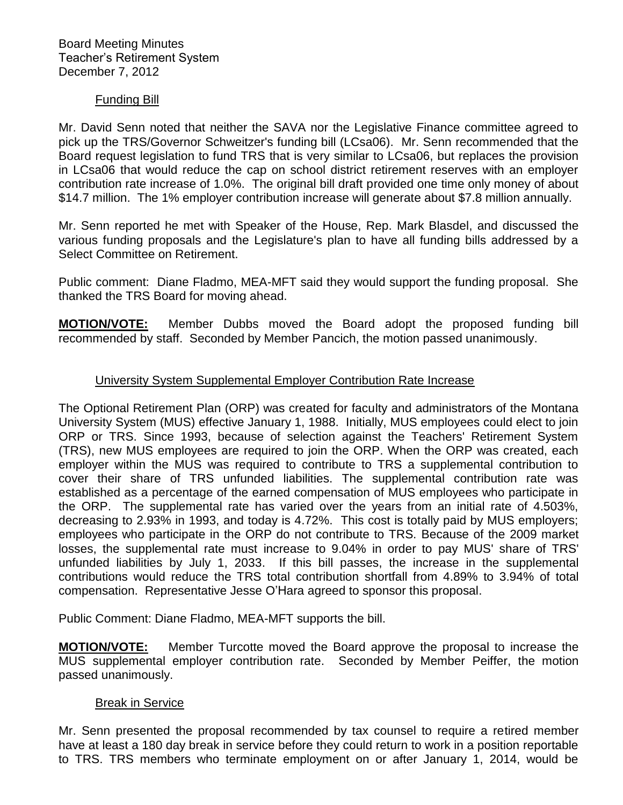### Funding Bill

Mr. David Senn noted that neither the SAVA nor the Legislative Finance committee agreed to pick up the TRS/Governor Schweitzer's funding bill (LCsa06). Mr. Senn recommended that the Board request legislation to fund TRS that is very similar to LCsa06, but replaces the provision in LCsa06 that would reduce the cap on school district retirement reserves with an employer contribution rate increase of 1.0%. The original bill draft provided one time only money of about \$14.7 million. The 1% employer contribution increase will generate about \$7.8 million annually.

Mr. Senn reported he met with Speaker of the House, Rep. Mark Blasdel, and discussed the various funding proposals and the Legislature's plan to have all funding bills addressed by a Select Committee on Retirement.

Public comment: Diane Fladmo, MEA-MFT said they would support the funding proposal. She thanked the TRS Board for moving ahead.

**MOTION/VOTE:** Member Dubbs moved the Board adopt the proposed funding bill recommended by staff. Seconded by Member Pancich, the motion passed unanimously.

## University System Supplemental Employer Contribution Rate Increase

The Optional Retirement Plan (ORP) was created for faculty and administrators of the Montana University System (MUS) effective January 1, 1988. Initially, MUS employees could elect to join ORP or TRS. Since 1993, because of selection against the Teachers' Retirement System (TRS), new MUS employees are required to join the ORP. When the ORP was created, each employer within the MUS was required to contribute to TRS a supplemental contribution to cover their share of TRS unfunded liabilities. The supplemental contribution rate was established as a percentage of the earned compensation of MUS employees who participate in the ORP. The supplemental rate has varied over the years from an initial rate of 4.503%, decreasing to 2.93% in 1993, and today is 4.72%. This cost is totally paid by MUS employers; employees who participate in the ORP do not contribute to TRS. Because of the 2009 market losses, the supplemental rate must increase to 9.04% in order to pay MUS' share of TRS' unfunded liabilities by July 1, 2033. If this bill passes, the increase in the supplemental contributions would reduce the TRS total contribution shortfall from 4.89% to 3.94% of total compensation. Representative Jesse O'Hara agreed to sponsor this proposal.

Public Comment: Diane Fladmo, MEA-MFT supports the bill.

**MOTION/VOTE:** Member Turcotte moved the Board approve the proposal to increase the MUS supplemental employer contribution rate. Seconded by Member Peiffer, the motion passed unanimously.

## **Break in Service**

Mr. Senn presented the proposal recommended by tax counsel to require a retired member have at least a 180 day break in service before they could return to work in a position reportable to TRS. TRS members who terminate employment on or after January 1, 2014, would be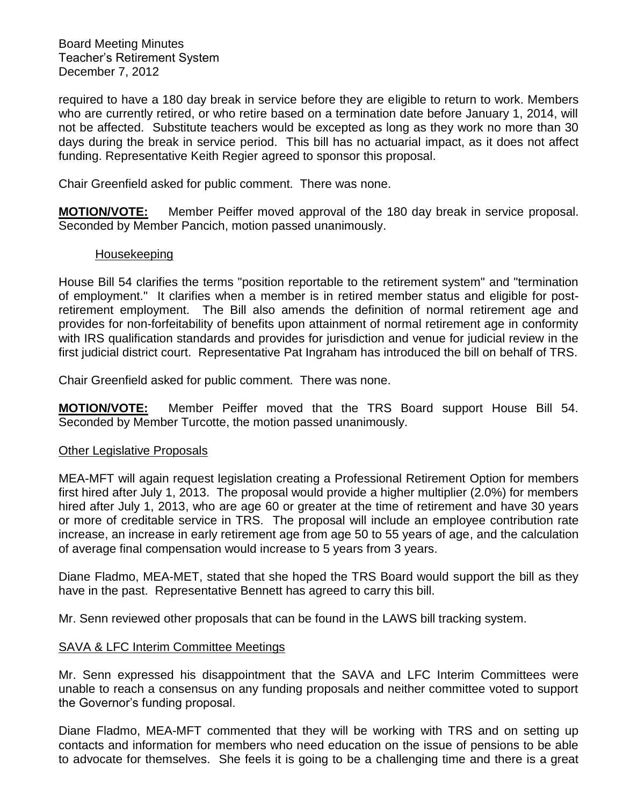required to have a 180 day break in service before they are eligible to return to work. Members who are currently retired, or who retire based on a termination date before January 1, 2014, will not be affected. Substitute teachers would be excepted as long as they work no more than 30 days during the break in service period. This bill has no actuarial impact, as it does not affect funding. Representative Keith Regier agreed to sponsor this proposal.

Chair Greenfield asked for public comment. There was none.

**MOTION/VOTE:** Member Peiffer moved approval of the 180 day break in service proposal. Seconded by Member Pancich, motion passed unanimously.

#### Housekeeping

House Bill 54 clarifies the terms "position reportable to the retirement system" and "termination of employment." It clarifies when a member is in retired member status and eligible for postretirement employment. The Bill also amends the definition of normal retirement age and provides for non-forfeitability of benefits upon attainment of normal retirement age in conformity with IRS qualification standards and provides for jurisdiction and venue for judicial review in the first judicial district court. Representative Pat Ingraham has introduced the bill on behalf of TRS.

Chair Greenfield asked for public comment. There was none.

**MOTION/VOTE:** Member Peiffer moved that the TRS Board support House Bill 54. Seconded by Member Turcotte, the motion passed unanimously.

## Other Legislative Proposals

MEA-MFT will again request legislation creating a Professional Retirement Option for members first hired after July 1, 2013. The proposal would provide a higher multiplier (2.0%) for members hired after July 1, 2013, who are age 60 or greater at the time of retirement and have 30 years or more of creditable service in TRS. The proposal will include an employee contribution rate increase, an increase in early retirement age from age 50 to 55 years of age, and the calculation of average final compensation would increase to 5 years from 3 years.

Diane Fladmo, MEA-MET, stated that she hoped the TRS Board would support the bill as they have in the past. Representative Bennett has agreed to carry this bill.

Mr. Senn reviewed other proposals that can be found in the LAWS bill tracking system.

## SAVA & LFC Interim Committee Meetings

Mr. Senn expressed his disappointment that the SAVA and LFC Interim Committees were unable to reach a consensus on any funding proposals and neither committee voted to support the Governor's funding proposal.

Diane Fladmo, MEA-MFT commented that they will be working with TRS and on setting up contacts and information for members who need education on the issue of pensions to be able to advocate for themselves. She feels it is going to be a challenging time and there is a great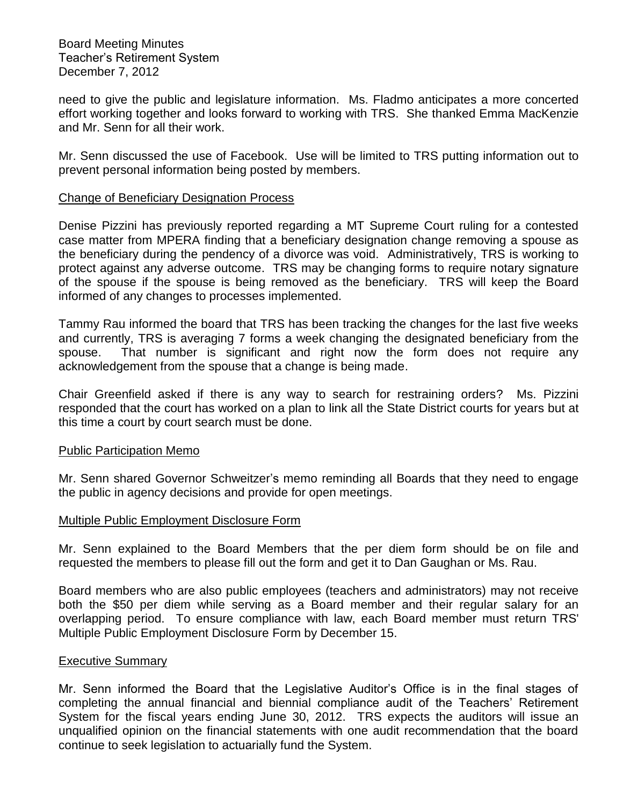need to give the public and legislature information. Ms. Fladmo anticipates a more concerted effort working together and looks forward to working with TRS. She thanked Emma MacKenzie and Mr. Senn for all their work.

Mr. Senn discussed the use of Facebook. Use will be limited to TRS putting information out to prevent personal information being posted by members.

#### Change of Beneficiary Designation Process

Denise Pizzini has previously reported regarding a MT Supreme Court ruling for a contested case matter from MPERA finding that a beneficiary designation change removing a spouse as the beneficiary during the pendency of a divorce was void. Administratively, TRS is working to protect against any adverse outcome. TRS may be changing forms to require notary signature of the spouse if the spouse is being removed as the beneficiary. TRS will keep the Board informed of any changes to processes implemented.

Tammy Rau informed the board that TRS has been tracking the changes for the last five weeks and currently, TRS is averaging 7 forms a week changing the designated beneficiary from the spouse. That number is significant and right now the form does not require any acknowledgement from the spouse that a change is being made.

Chair Greenfield asked if there is any way to search for restraining orders? Ms. Pizzini responded that the court has worked on a plan to link all the State District courts for years but at this time a court by court search must be done.

#### Public Participation Memo

Mr. Senn shared Governor Schweitzer's memo reminding all Boards that they need to engage the public in agency decisions and provide for open meetings.

## Multiple Public Employment Disclosure Form

Mr. Senn explained to the Board Members that the per diem form should be on file and requested the members to please fill out the form and get it to Dan Gaughan or Ms. Rau.

Board members who are also public employees (teachers and administrators) may not receive both the \$50 per diem while serving as a Board member and their regular salary for an overlapping period. To ensure compliance with law, each Board member must return TRS' Multiple Public Employment Disclosure Form by December 15.

#### Executive Summary

Mr. Senn informed the Board that the Legislative Auditor's Office is in the final stages of completing the annual financial and biennial compliance audit of the Teachers' Retirement System for the fiscal years ending June 30, 2012. TRS expects the auditors will issue an unqualified opinion on the financial statements with one audit recommendation that the board continue to seek legislation to actuarially fund the System.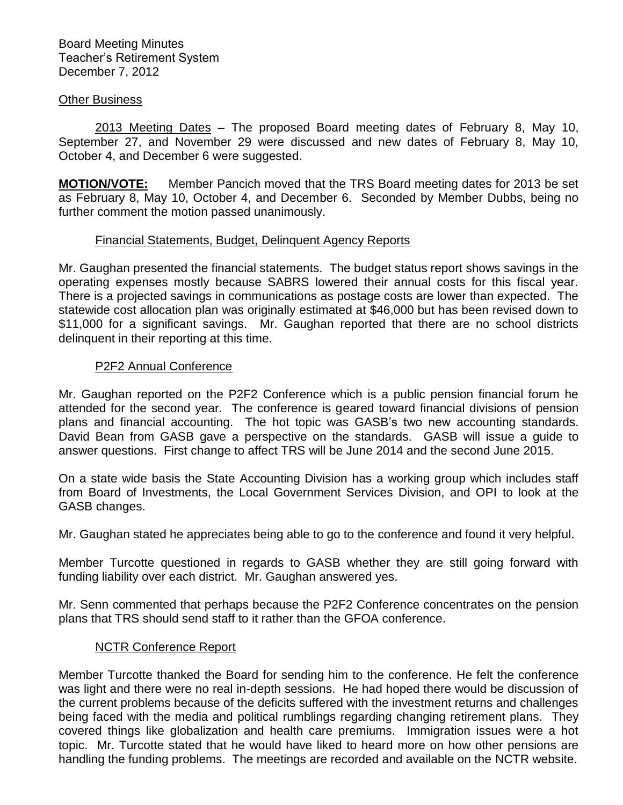#### Other Business

2013 Meeting Dates – The proposed Board meeting dates of February 8, May 10, September 27, and November 29 were discussed and new dates of February 8, May 10, October 4, and December 6 were suggested.

**MOTION/VOTE:** Member Pancich moved that the TRS Board meeting dates for 2013 be set as February 8, May 10, October 4, and December 6. Seconded by Member Dubbs, being no further comment the motion passed unanimously.

### Financial Statements, Budget, Delinquent Agency Reports

Mr. Gaughan presented the financial statements. The budget status report shows savings in the operating expenses mostly because SABRS lowered their annual costs for this fiscal year. There is a projected savings in communications as postage costs are lower than expected. The statewide cost allocation plan was originally estimated at \$46,000 but has been revised down to \$11,000 for a significant savings. Mr. Gaughan reported that there are no school districts delinquent in their reporting at this time.

### P2F2 Annual Conference

Mr. Gaughan reported on the P2F2 Conference which is a public pension financial forum he attended for the second year. The conference is geared toward financial divisions of pension plans and financial accounting. The hot topic was GASB's two new accounting standards. David Bean from GASB gave a perspective on the standards. GASB will issue a guide to answer questions. First change to affect TRS will be June 2014 and the second June 2015.

On a state wide basis the State Accounting Division has a working group which includes staff from Board of Investments, the Local Government Services Division, and OPI to look at the GASB changes.

Mr. Gaughan stated he appreciates being able to go to the conference and found it very helpful.

Member Turcotte questioned in regards to GASB whether they are still going forward with funding liability over each district. Mr. Gaughan answered yes.

Mr. Senn commented that perhaps because the P2F2 Conference concentrates on the pension plans that TRS should send staff to it rather than the GFOA conference.

#### NCTR Conference Report

Member Turcotte thanked the Board for sending him to the conference. He felt the conference was light and there were no real in-depth sessions. He had hoped there would be discussion of the current problems because of the deficits suffered with the investment returns and challenges being faced with the media and political rumblings regarding changing retirement plans. They covered things like globalization and health care premiums. Immigration issues were a hot topic. Mr. Turcotte stated that he would have liked to heard more on how other pensions are handling the funding problems. The meetings are recorded and available on the NCTR website.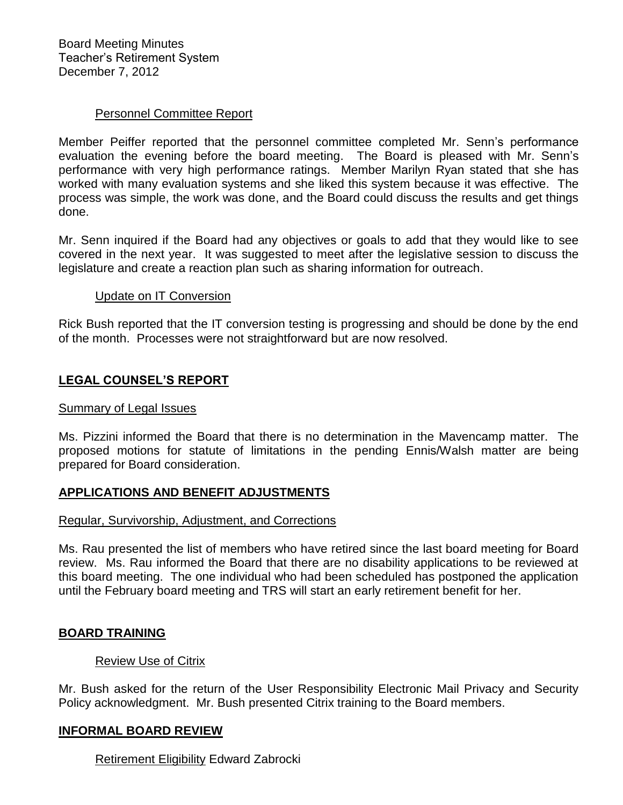## Personnel Committee Report

Member Peiffer reported that the personnel committee completed Mr. Senn's performance evaluation the evening before the board meeting. The Board is pleased with Mr. Senn's performance with very high performance ratings. Member Marilyn Ryan stated that she has worked with many evaluation systems and she liked this system because it was effective. The process was simple, the work was done, and the Board could discuss the results and get things done.

Mr. Senn inquired if the Board had any objectives or goals to add that they would like to see covered in the next year. It was suggested to meet after the legislative session to discuss the legislature and create a reaction plan such as sharing information for outreach.

#### Update on IT Conversion

Rick Bush reported that the IT conversion testing is progressing and should be done by the end of the month. Processes were not straightforward but are now resolved.

## **LEGAL COUNSEL'S REPORT**

#### Summary of Legal Issues

Ms. Pizzini informed the Board that there is no determination in the Mavencamp matter. The proposed motions for statute of limitations in the pending Ennis/Walsh matter are being prepared for Board consideration.

### **APPLICATIONS AND BENEFIT ADJUSTMENTS**

#### Regular, Survivorship, Adjustment, and Corrections

Ms. Rau presented the list of members who have retired since the last board meeting for Board review. Ms. Rau informed the Board that there are no disability applications to be reviewed at this board meeting. The one individual who had been scheduled has postponed the application until the February board meeting and TRS will start an early retirement benefit for her.

#### **BOARD TRAINING**

#### Review Use of Citrix

Mr. Bush asked for the return of the User Responsibility Electronic Mail Privacy and Security Policy acknowledgment. Mr. Bush presented Citrix training to the Board members.

#### **INFORMAL BOARD REVIEW**

Retirement Eligibility Edward Zabrocki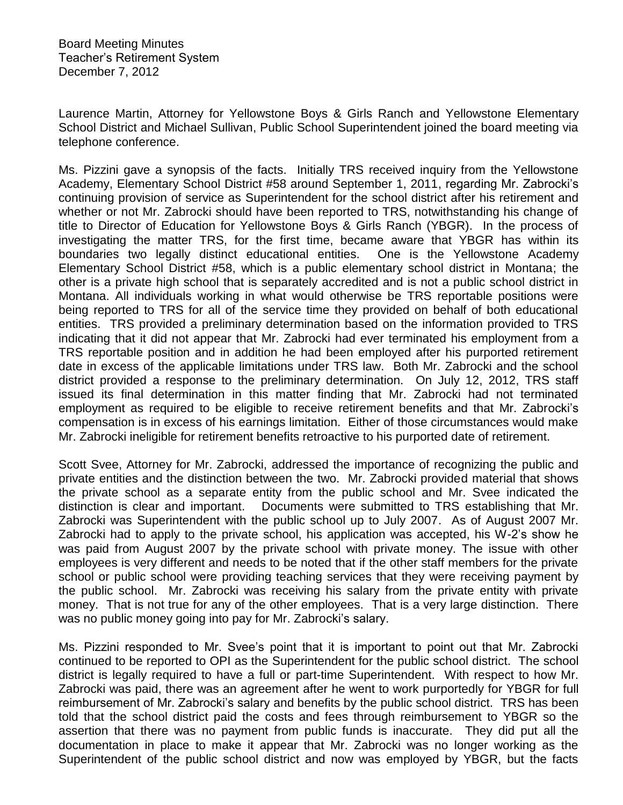Laurence Martin, Attorney for Yellowstone Boys & Girls Ranch and Yellowstone Elementary School District and Michael Sullivan, Public School Superintendent joined the board meeting via telephone conference.

Ms. Pizzini gave a synopsis of the facts. Initially TRS received inquiry from the Yellowstone Academy, Elementary School District #58 around September 1, 2011, regarding Mr. Zabrocki's continuing provision of service as Superintendent for the school district after his retirement and whether or not Mr. Zabrocki should have been reported to TRS, notwithstanding his change of title to Director of Education for Yellowstone Boys & Girls Ranch (YBGR). In the process of investigating the matter TRS, for the first time, became aware that YBGR has within its boundaries two legally distinct educational entities. One is the Yellowstone Academy Elementary School District #58, which is a public elementary school district in Montana; the other is a private high school that is separately accredited and is not a public school district in Montana. All individuals working in what would otherwise be TRS reportable positions were being reported to TRS for all of the service time they provided on behalf of both educational entities. TRS provided a preliminary determination based on the information provided to TRS indicating that it did not appear that Mr. Zabrocki had ever terminated his employment from a TRS reportable position and in addition he had been employed after his purported retirement date in excess of the applicable limitations under TRS law. Both Mr. Zabrocki and the school district provided a response to the preliminary determination. On July 12, 2012, TRS staff issued its final determination in this matter finding that Mr. Zabrocki had not terminated employment as required to be eligible to receive retirement benefits and that Mr. Zabrocki's compensation is in excess of his earnings limitation. Either of those circumstances would make Mr. Zabrocki ineligible for retirement benefits retroactive to his purported date of retirement.

Scott Svee, Attorney for Mr. Zabrocki, addressed the importance of recognizing the public and private entities and the distinction between the two. Mr. Zabrocki provided material that shows the private school as a separate entity from the public school and Mr. Svee indicated the distinction is clear and important. Documents were submitted to TRS establishing that Mr. Zabrocki was Superintendent with the public school up to July 2007. As of August 2007 Mr. Zabrocki had to apply to the private school, his application was accepted, his W-2's show he was paid from August 2007 by the private school with private money. The issue with other employees is very different and needs to be noted that if the other staff members for the private school or public school were providing teaching services that they were receiving payment by the public school. Mr. Zabrocki was receiving his salary from the private entity with private money. That is not true for any of the other employees. That is a very large distinction. There was no public money going into pay for Mr. Zabrocki's salary.

Ms. Pizzini responded to Mr. Svee's point that it is important to point out that Mr. Zabrocki continued to be reported to OPI as the Superintendent for the public school district. The school district is legally required to have a full or part-time Superintendent. With respect to how Mr. Zabrocki was paid, there was an agreement after he went to work purportedly for YBGR for full reimbursement of Mr. Zabrocki's salary and benefits by the public school district. TRS has been told that the school district paid the costs and fees through reimbursement to YBGR so the assertion that there was no payment from public funds is inaccurate. They did put all the documentation in place to make it appear that Mr. Zabrocki was no longer working as the Superintendent of the public school district and now was employed by YBGR, but the facts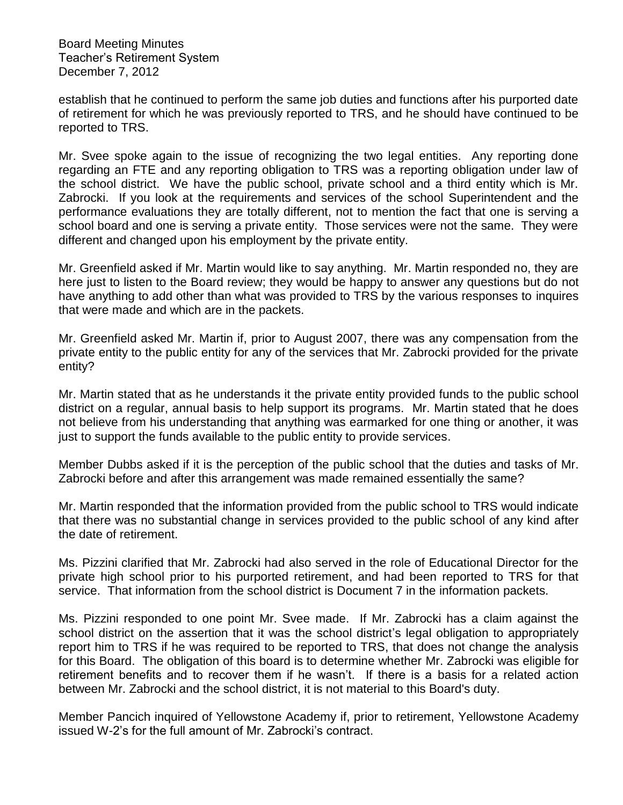establish that he continued to perform the same job duties and functions after his purported date of retirement for which he was previously reported to TRS, and he should have continued to be reported to TRS.

Mr. Svee spoke again to the issue of recognizing the two legal entities. Any reporting done regarding an FTE and any reporting obligation to TRS was a reporting obligation under law of the school district. We have the public school, private school and a third entity which is Mr. Zabrocki. If you look at the requirements and services of the school Superintendent and the performance evaluations they are totally different, not to mention the fact that one is serving a school board and one is serving a private entity. Those services were not the same. They were different and changed upon his employment by the private entity.

Mr. Greenfield asked if Mr. Martin would like to say anything. Mr. Martin responded no, they are here just to listen to the Board review; they would be happy to answer any questions but do not have anything to add other than what was provided to TRS by the various responses to inquires that were made and which are in the packets.

Mr. Greenfield asked Mr. Martin if, prior to August 2007, there was any compensation from the private entity to the public entity for any of the services that Mr. Zabrocki provided for the private entity?

Mr. Martin stated that as he understands it the private entity provided funds to the public school district on a regular, annual basis to help support its programs. Mr. Martin stated that he does not believe from his understanding that anything was earmarked for one thing or another, it was just to support the funds available to the public entity to provide services.

Member Dubbs asked if it is the perception of the public school that the duties and tasks of Mr. Zabrocki before and after this arrangement was made remained essentially the same?

Mr. Martin responded that the information provided from the public school to TRS would indicate that there was no substantial change in services provided to the public school of any kind after the date of retirement.

Ms. Pizzini clarified that Mr. Zabrocki had also served in the role of Educational Director for the private high school prior to his purported retirement, and had been reported to TRS for that service. That information from the school district is Document 7 in the information packets.

Ms. Pizzini responded to one point Mr. Svee made. If Mr. Zabrocki has a claim against the school district on the assertion that it was the school district's legal obligation to appropriately report him to TRS if he was required to be reported to TRS, that does not change the analysis for this Board. The obligation of this board is to determine whether Mr. Zabrocki was eligible for retirement benefits and to recover them if he wasn't. If there is a basis for a related action between Mr. Zabrocki and the school district, it is not material to this Board's duty.

Member Pancich inquired of Yellowstone Academy if, prior to retirement, Yellowstone Academy issued W-2's for the full amount of Mr. Zabrocki's contract.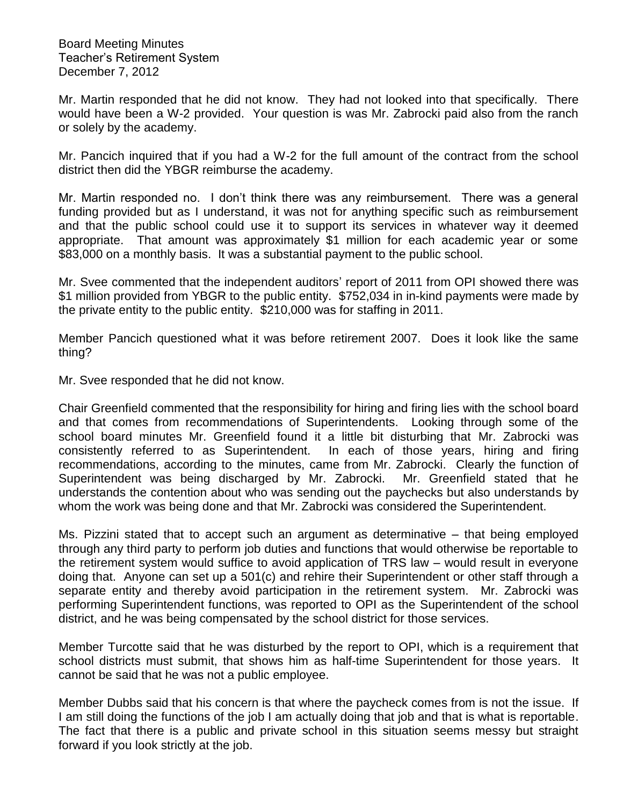Mr. Martin responded that he did not know. They had not looked into that specifically. There would have been a W-2 provided. Your question is was Mr. Zabrocki paid also from the ranch or solely by the academy.

Mr. Pancich inquired that if you had a W-2 for the full amount of the contract from the school district then did the YBGR reimburse the academy.

Mr. Martin responded no. I don't think there was any reimbursement. There was a general funding provided but as I understand, it was not for anything specific such as reimbursement and that the public school could use it to support its services in whatever way it deemed appropriate. That amount was approximately \$1 million for each academic year or some \$83,000 on a monthly basis. It was a substantial payment to the public school.

Mr. Svee commented that the independent auditors' report of 2011 from OPI showed there was \$1 million provided from YBGR to the public entity. \$752,034 in in-kind payments were made by the private entity to the public entity. \$210,000 was for staffing in 2011.

Member Pancich questioned what it was before retirement 2007. Does it look like the same thing?

Mr. Svee responded that he did not know.

Chair Greenfield commented that the responsibility for hiring and firing lies with the school board and that comes from recommendations of Superintendents. Looking through some of the school board minutes Mr. Greenfield found it a little bit disturbing that Mr. Zabrocki was consistently referred to as Superintendent. In each of those years, hiring and firing recommendations, according to the minutes, came from Mr. Zabrocki. Clearly the function of Superintendent was being discharged by Mr. Zabrocki. Mr. Greenfield stated that he understands the contention about who was sending out the paychecks but also understands by whom the work was being done and that Mr. Zabrocki was considered the Superintendent.

Ms. Pizzini stated that to accept such an argument as determinative – that being employed through any third party to perform job duties and functions that would otherwise be reportable to the retirement system would suffice to avoid application of TRS law – would result in everyone doing that. Anyone can set up a 501(c) and rehire their Superintendent or other staff through a separate entity and thereby avoid participation in the retirement system. Mr. Zabrocki was performing Superintendent functions, was reported to OPI as the Superintendent of the school district, and he was being compensated by the school district for those services.

Member Turcotte said that he was disturbed by the report to OPI, which is a requirement that school districts must submit, that shows him as half-time Superintendent for those years. It cannot be said that he was not a public employee.

Member Dubbs said that his concern is that where the paycheck comes from is not the issue. If I am still doing the functions of the job I am actually doing that job and that is what is reportable. The fact that there is a public and private school in this situation seems messy but straight forward if you look strictly at the job.